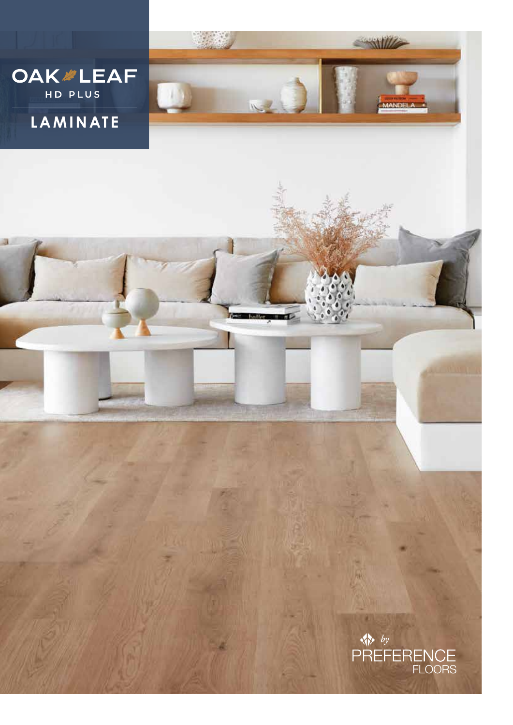

Test ballet and

## **LAMINATE**

a



SANILLE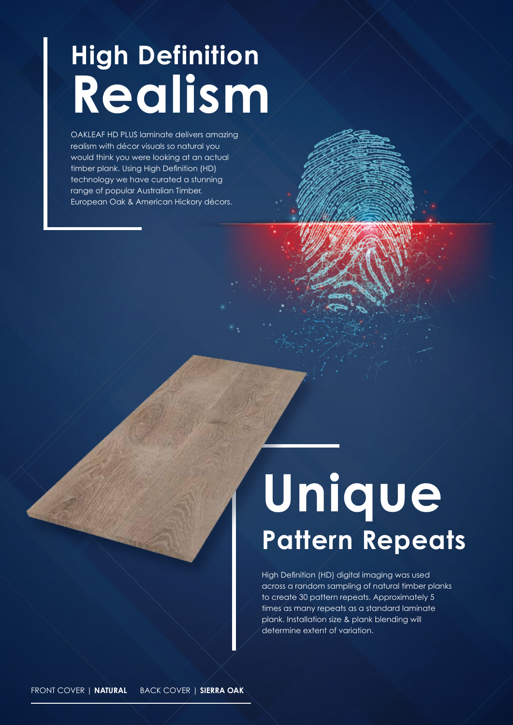## **High Definition Realism**

OAKLEAF HD PLUS laminate delivers amazing realism with décor visuals so natural you would think you were looking at an actual timber plank. Using High Definition (HD) technology we have curated a stunning range of popular Australian Timber, European Oak & American Hickory décors.

# **Unique Pattern Repeats**

High Definition (HD) digital imaging was used across a random sampling of natural timber planks to create 30 pattern repeats. Approximately 5 times as many repeats as a standard laminate plank. Installation size & plank blending will determine extent of variation.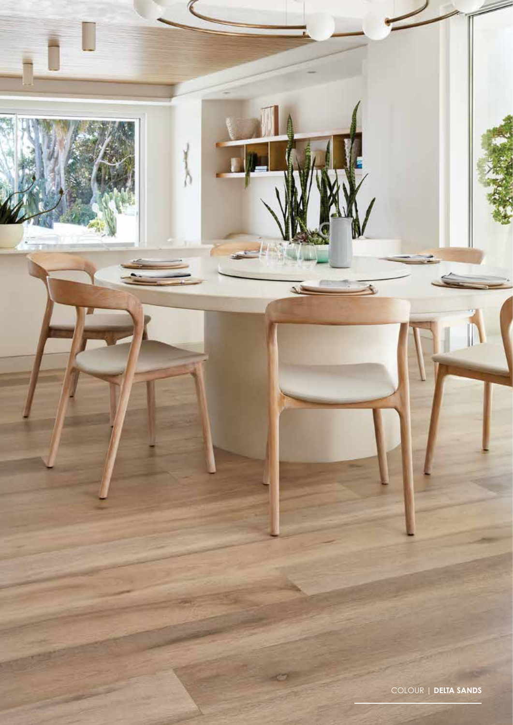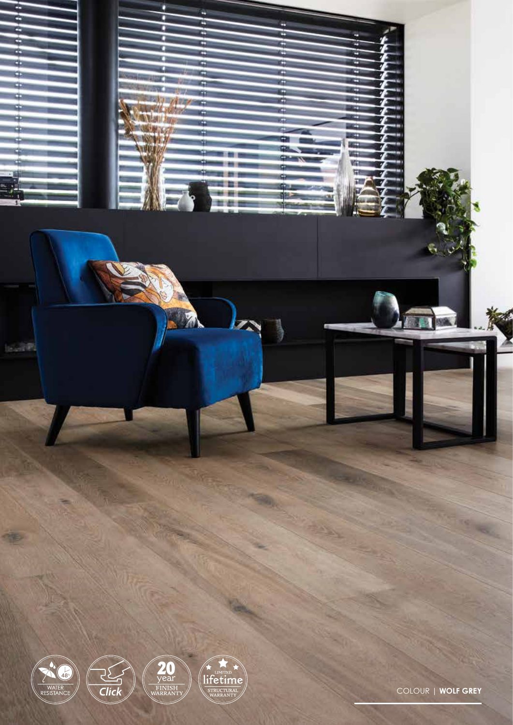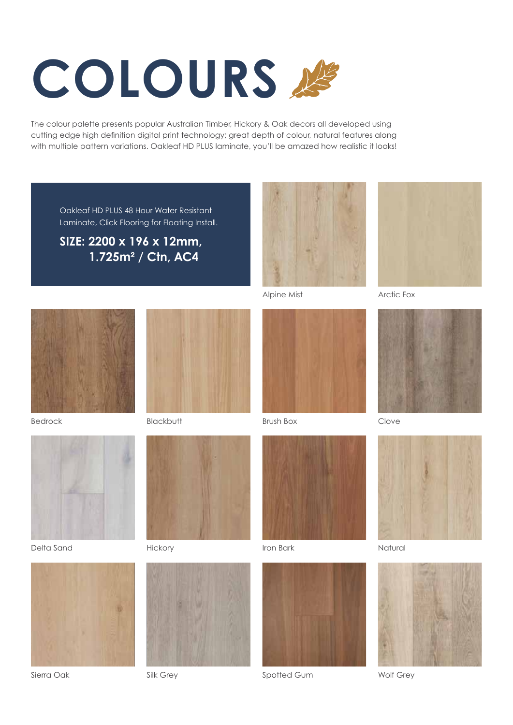# **COLOURS**

The colour palette presents popular Australian Timber, Hickory & Oak decors all developed using cutting edge high definition digital print technology; great depth of colour, natural features along with multiple pattern variations. Oakleaf HD PLUS laminate, you'll be amazed how realistic it looks!

Oakleaf HD PLUS 48 Hour Water Resistant Laminate, Click Flooring for Floating Install.

**SIZE: 2200 x 196 x 12mm, 1.725m2 / Ctn, AC4**



Bedrock



Delta Sand



Sierra Oak



Hickory



Silk Grey



Alpine Mist





Iron Bark



Spotted Gum



Arctic Fox



Clove



Natural



Wolf Grey



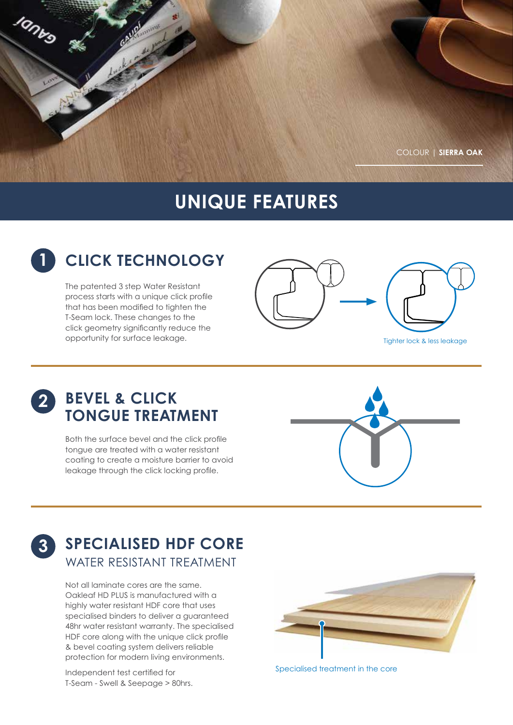

## **UNIQUE FEATURES**



The patented 3 step Water Resistant process starts with a unique click profile that has been modified to tighten the T-Seam lock. These changes to the click geometry significantly reduce the opportunity for surface leakage.



Tighter lock & less leakage

Jamro

**3**

## **BEVEL & CLICK 2 TONGUE TREATMENT**

Both the surface bevel and the click profile tongue are treated with a water resistant coating to create a moisture barrier to avoid leakage through the click locking profile.



## **SPECIALISED HDF CORE** WATER RESISTANT TREATMENT

Not all laminate cores are the same. Oakleaf HD PLUS is manufactured with a highly water resistant HDF core that uses specialised binders to deliver a guaranteed 48hr water resistant warranty. The specialised HDF core along with the unique click profile & bevel coating system delivers reliable protection for modern living environments.

Independent test certified for T-Seam - Swell & Seepage > 80hrs.



Specialised treatment in the core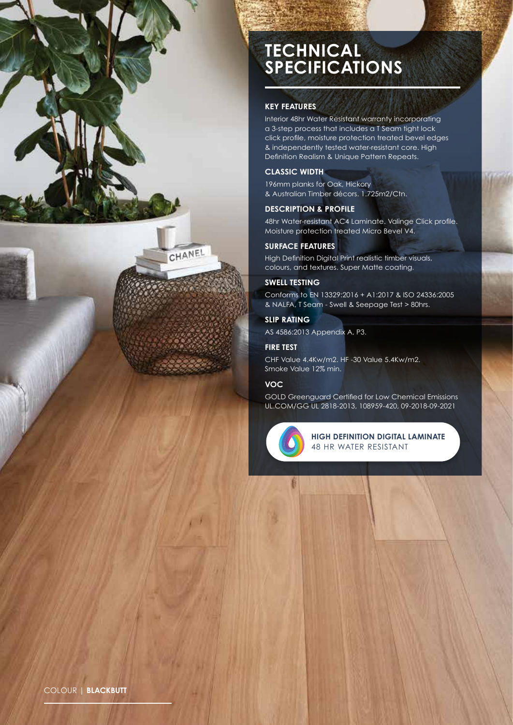

## **TECHNICAL SPECIFICATIONS**

#### **KEY FEATURES**

Interior 48hr Water Resistant warranty incorporating a 3-step process that includes a T Seam tight lock click profile, moisture protection treated bevel edges & independently tested water-resistant core. High Definition Realism & Unique Pattern Repeats.

#### **CLASSIC WIDTH**

196mm planks for Oak, Hickory & Australian Timber décors. 1.725m2/Ctn.

#### **DESCRIPTION & PROFILE**

48hr Water-resistant AC4 Laminate. Valinge Click profile. Moisture protection treated Micro Bevel V4.

#### **SURFACE FEATURES**

High Definition Digital Print realistic timber visuals, colours, and textures. Super Matte coating.

#### **SWELL TESTING**

Conforms to EN 13329:2016 + A1:2017 & ISO 24336:2005 & NALFA, T Seam - Swell & Seepage Test > 80hrs.

#### **SLIP RATING**

AS 4586:2013 Appendix A, P3.

#### **FIRE TEST**

CHF Value 4.4Kw/m2. HF -30 Value 5.4Kw/m2. Smoke Value 12% min.

#### **VOC**

GOLD Greenguard Certified for Low Chemical Emissions UL.COM/GG UL 2818-2013, 108959-420, 09-2018-09-2021



**HIGH DEFINITION DIGITAL LAMINATE** 48 HR WATER RESISTANT